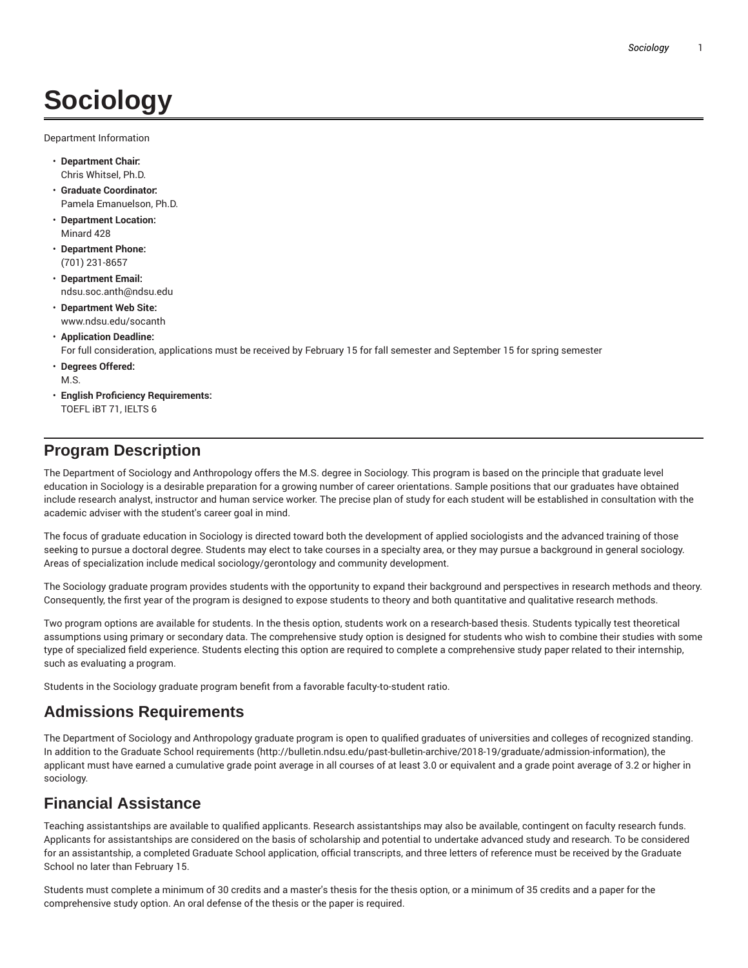# **Sociology**

Department Information

- **Department Chair:** Chris Whitsel, Ph.D.
- **Graduate Coordinator:** Pamela Emanuelson, Ph.D.
- **Department Location:** Minard 428
- **Department Phone:** (701) 231-8657
- **Department Email:** ndsu.soc.anth@ndsu.edu
- **Department Web Site:** www.ndsu.edu/socanth

## • **Application Deadline:**

For full consideration, applications must be received by February 15 for fall semester and September 15 for spring semester

- **Degrees Offered:** M.S.
- **English Proficiency Requirements:** TOEFL iBT 71, IELTS 6

# **Program Description**

The Department of Sociology and Anthropology offers the M.S. degree in Sociology. This program is based on the principle that graduate level education in Sociology is a desirable preparation for a growing number of career orientations. Sample positions that our graduates have obtained include research analyst, instructor and human service worker. The precise plan of study for each student will be established in consultation with the academic adviser with the student's career goal in mind.

The focus of graduate education in Sociology is directed toward both the development of applied sociologists and the advanced training of those seeking to pursue a doctoral degree. Students may elect to take courses in a specialty area, or they may pursue a background in general sociology. Areas of specialization include medical sociology/gerontology and community development.

The Sociology graduate program provides students with the opportunity to expand their background and perspectives in research methods and theory. Consequently, the first year of the program is designed to expose students to theory and both quantitative and qualitative research methods.

Two program options are available for students. In the thesis option, students work on a research-based thesis. Students typically test theoretical assumptions using primary or secondary data. The comprehensive study option is designed for students who wish to combine their studies with some type of specialized field experience. Students electing this option are required to complete a comprehensive study paper related to their internship, such as evaluating a program.

Students in the Sociology graduate program benefit from a favorable faculty-to-student ratio.

# **Admissions Requirements**

The Department of Sociology and Anthropology graduate program is open to qualified graduates of universities and colleges of recognized standing. In addition to the Graduate School requirements (http://bulletin.ndsu.edu/past-bulletin-archive/2018-19/graduate/admission-information), the applicant must have earned a cumulative grade point average in all courses of at least 3.0 or equivalent and a grade point average of 3.2 or higher in sociology.

# **Financial Assistance**

Teaching assistantships are available to qualified applicants. Research assistantships may also be available, contingent on faculty research funds. Applicants for assistantships are considered on the basis of scholarship and potential to undertake advanced study and research. To be considered for an assistantship, a completed Graduate School application, official transcripts, and three letters of reference must be received by the Graduate School no later than February 15.

Students must complete a minimum of 30 credits and a master's thesis for the thesis option, or a minimum of 35 credits and a paper for the comprehensive study option. An oral defense of the thesis or the paper is required.